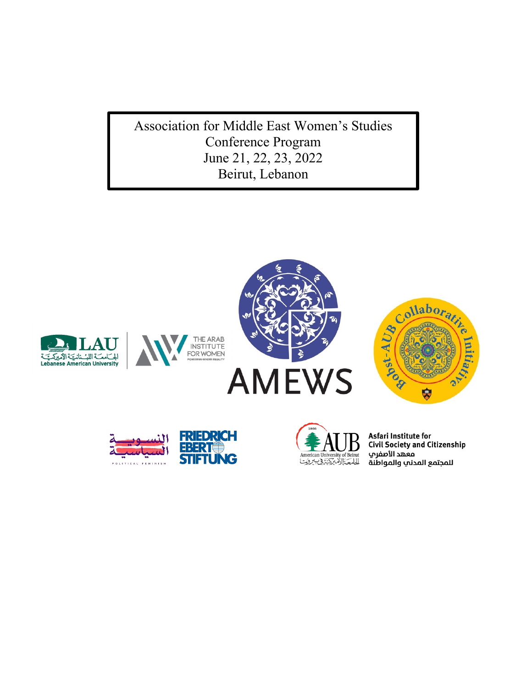Association for Middle East Women's Studies Conference Program June 21, 22, 23, 2022 Beirut, Lebanon







Asfari Institute for **Civil Society and Citizenship** ـ<br>معهد الأصفري للمجتمع المدنب والمواطنة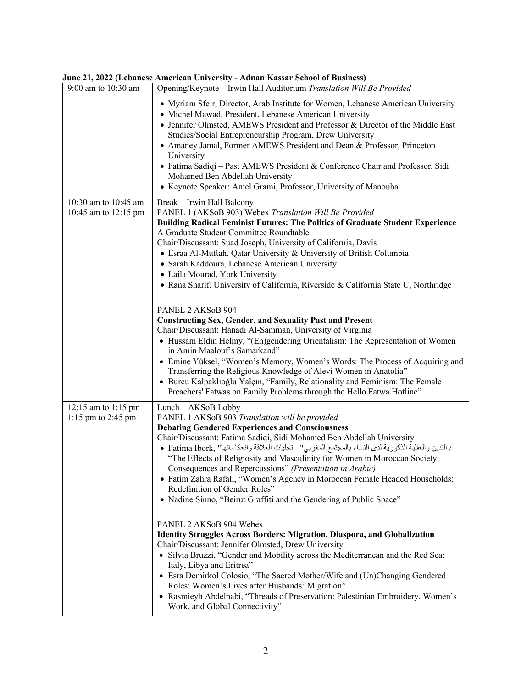|                         | June 21, 2022 (ledanese American University - Aunan Kassar School of Dusiness)                                                                                                                                                                                                                                                                                                                                                                                                                                                                                                                                                                                                                                                                                                                                                                                                                                                                                                                                                                                                                                                        |
|-------------------------|---------------------------------------------------------------------------------------------------------------------------------------------------------------------------------------------------------------------------------------------------------------------------------------------------------------------------------------------------------------------------------------------------------------------------------------------------------------------------------------------------------------------------------------------------------------------------------------------------------------------------------------------------------------------------------------------------------------------------------------------------------------------------------------------------------------------------------------------------------------------------------------------------------------------------------------------------------------------------------------------------------------------------------------------------------------------------------------------------------------------------------------|
| 9:00 am to 10:30 am     | Opening/Keynote - Irwin Hall Auditorium Translation Will Be Provided                                                                                                                                                                                                                                                                                                                                                                                                                                                                                                                                                                                                                                                                                                                                                                                                                                                                                                                                                                                                                                                                  |
|                         | • Myriam Sfeir, Director, Arab Institute for Women, Lebanese American University<br>· Michel Mawad, President, Lebanese American University<br>• Jennifer Olmsted, AMEWS President and Professor & Director of the Middle East<br>Studies/Social Entrepreneurship Program, Drew University<br>• Amaney Jamal, Former AMEWS President and Dean & Professor, Princeton<br>University<br>• Fatima Sadiqi - Past AMEWS President & Conference Chair and Professor, Sidi<br>Mohamed Ben Abdellah University<br>• Keynote Speaker: Amel Grami, Professor, University of Manouba                                                                                                                                                                                                                                                                                                                                                                                                                                                                                                                                                             |
| 10:30 am to 10:45 am    | Break - Irwin Hall Balcony                                                                                                                                                                                                                                                                                                                                                                                                                                                                                                                                                                                                                                                                                                                                                                                                                                                                                                                                                                                                                                                                                                            |
| 10:45 am to 12:15 pm    | PANEL 1 (AKSoB 903) Webex Translation Will Be Provided<br>Building Radical Feminist Futures: The Politics of Graduate Student Experience<br>A Graduate Student Committee Roundtable<br>Chair/Discussant: Suad Joseph, University of California, Davis<br>• Esraa Al-Muftah, Qatar University & University of British Columbia<br>· Sarah Kaddoura, Lebanese American University<br>· Laila Mourad, York University<br>• Rana Sharif, University of California, Riverside & California State U, Northridge<br>PANEL 2 AKSoB 904<br><b>Constructing Sex, Gender, and Sexuality Past and Present</b><br>Chair/Discussant: Hanadi Al-Samman, University of Virginia<br>• Hussam Eldin Helmy, "(En)gendering Orientalism: The Representation of Women<br>in Amin Maalouf's Samarkand"<br>• Emine Yüksel, "Women's Memory, Women's Words: The Process of Acquiring and<br>Transferring the Religious Knowledge of Alevi Women in Anatolia"<br>· Burcu Kalpaklıoğlu Yalçın, "Family, Relationality and Feminism: The Female                                                                                                                  |
|                         |                                                                                                                                                                                                                                                                                                                                                                                                                                                                                                                                                                                                                                                                                                                                                                                                                                                                                                                                                                                                                                                                                                                                       |
| 1:15 pm to 2:45 pm      | PANEL 1 AKSoB 903 Translation will be provided<br><b>Debating Gendered Experiences and Consciousness</b><br>Chair/Discussant: Fatima Sadiqi, Sidi Mohamed Ben Abdellah University<br>/ التدين والعقلية الذكورية لدى النساء بالمجتمع المغربي" - تجليات العلاقة وانعكاساتها" ,Fatima Ibork •<br>"The Effects of Religiosity and Masculinity for Women in Moroccan Society:<br>Consequences and Repercussions" (Presentation in Arabic)<br>• Fatim Zahra Rafali, "Women's Agency in Moroccan Female Headed Households:<br>Redefinition of Gender Roles"<br>• Nadine Sinno, "Beirut Graffiti and the Gendering of Public Space"<br>PANEL 2 AKSoB 904 Webex<br><b>Identity Struggles Across Borders: Migration, Diaspora, and Globalization</b><br>Chair/Discussant: Jennifer Olmsted, Drew University<br>• Silvia Bruzzi, "Gender and Mobility across the Mediterranean and the Red Sea:<br>Italy, Libya and Eritrea"<br>• Esra Demirkol Colosio, "The Sacred Mother/Wife and (Un)Changing Gendered<br>Roles: Women's Lives after Husbands' Migration"<br>• Rasmieyh Abdelnabi, "Threads of Preservation: Palestinian Embroidery, Women's |
| $12:15$ am to $1:15$ pm | Preachers' Fatwas on Family Problems through the Hello Fatwa Hotline"<br>Lunch - AKSoB Lobby<br>Work, and Global Connectivity"                                                                                                                                                                                                                                                                                                                                                                                                                                                                                                                                                                                                                                                                                                                                                                                                                                                                                                                                                                                                        |

**June 21, 2022 (Lebanese American University - Adnan Kassar School of Business)**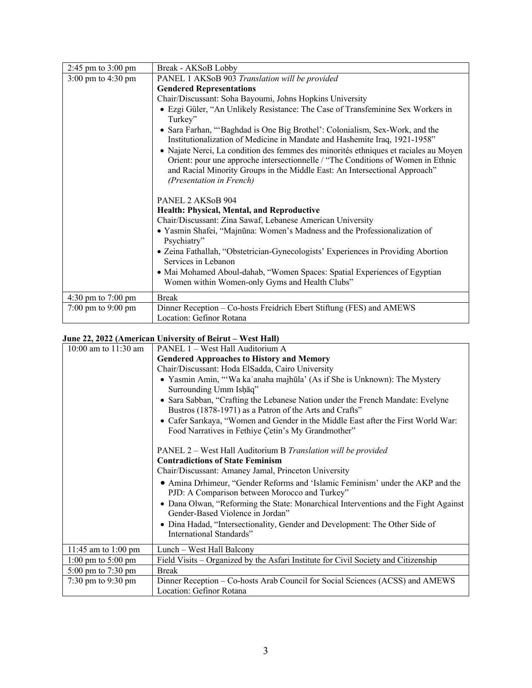| 2:45 pm to $3:00$ pm                   | Break - AKSoB Lobby                                                                                                                                                                                                                                                                |  |  |
|----------------------------------------|------------------------------------------------------------------------------------------------------------------------------------------------------------------------------------------------------------------------------------------------------------------------------------|--|--|
| $3:00 \text{ pm}$ to $4:30 \text{ pm}$ | PANEL 1 AKSoB 903 Translation will be provided                                                                                                                                                                                                                                     |  |  |
|                                        | <b>Gendered Representations</b>                                                                                                                                                                                                                                                    |  |  |
|                                        | Chair/Discussant: Soha Bayoumi, Johns Hopkins University                                                                                                                                                                                                                           |  |  |
|                                        | • Ezgi Güler, "An Unlikely Resistance: The Case of Transfeminine Sex Workers in<br>Turkey"                                                                                                                                                                                         |  |  |
|                                        | • Sara Farhan, "Baghdad is One Big Brothel': Colonialism, Sex-Work, and the<br>Institutionalization of Medicine in Mandate and Hashemite Iraq, 1921-1958"                                                                                                                          |  |  |
|                                        | • Najate Nerci, La condition des femmes des minorités ethniques et raciales au Moyen<br>Orient: pour une approche intersectionnelle / "The Conditions of Women in Ethnic<br>and Racial Minority Groups in the Middle East: An Intersectional Approach"<br>(Presentation in French) |  |  |
|                                        | PANEL 2 AKS <sub>o</sub> B 904                                                                                                                                                                                                                                                     |  |  |
|                                        | Health: Physical, Mental, and Reproductive                                                                                                                                                                                                                                         |  |  |
|                                        | Chair/Discussant: Zina Sawaf, Lebanese American University                                                                                                                                                                                                                         |  |  |
|                                        | • Yasmin Shafei, "Majnūna: Women's Madness and the Professionalization of<br>Psychiatry"                                                                                                                                                                                           |  |  |
|                                        | • Zeina Fathallah, "Obstetrician-Gynecologists' Experiences in Providing Abortion<br>Services in Lebanon                                                                                                                                                                           |  |  |
|                                        | • Mai Mohamed Aboul-dahab, "Women Spaces: Spatial Experiences of Egyptian<br>Women within Women-only Gyms and Health Clubs"                                                                                                                                                        |  |  |
| 4:30 pm to 7:00 pm                     | <b>Break</b>                                                                                                                                                                                                                                                                       |  |  |
| $7:00 \text{ pm}$ to $9:00 \text{ pm}$ | Dinner Reception – Co-hosts Freidrich Ebert Stiftung (FES) and AMEWS<br>Location: Gefinor Rotana                                                                                                                                                                                   |  |  |

## **June 22, 2022 (American University of Beirut – West Hall)**

| 10:00 am to $11:30$ am                                                                              | PANEL 1 – West Hall Auditorium A                                                                                                                                 |  |  |  |
|-----------------------------------------------------------------------------------------------------|------------------------------------------------------------------------------------------------------------------------------------------------------------------|--|--|--|
|                                                                                                     | <b>Gendered Approaches to History and Memory</b>                                                                                                                 |  |  |  |
|                                                                                                     | Chair/Discussant: Hoda ElSadda, Cairo University                                                                                                                 |  |  |  |
| • Yasmin Amin, "'Wa ka'anaha majhūla' (As if She is Unknown): The Mystery<br>Surrounding Umm Ishaq" |                                                                                                                                                                  |  |  |  |
|                                                                                                     | • Sara Sabban, "Crafting the Lebanese Nation under the French Mandate: Evelyne<br>Bustros (1878-1971) as a Patron of the Arts and Crafts"                        |  |  |  |
|                                                                                                     | • Cafer Sarıkaya, "Women and Gender in the Middle East after the First World War:<br>Food Narratives in Fethiye Cetin's My Grandmother"                          |  |  |  |
|                                                                                                     | PANEL 2 - West Hall Auditorium B Translation will be provided<br><b>Contradictions of State Feminism</b><br>Chair/Discussant: Amaney Jamal, Princeton University |  |  |  |
|                                                                                                     | • Amina Drhimeur, "Gender Reforms and 'Islamic Feminism' under the AKP and the<br>PJD: A Comparison between Morocco and Turkey"                                  |  |  |  |
|                                                                                                     | • Dana Olwan, "Reforming the State: Monarchical Interventions and the Fight Against<br>Gender-Based Violence in Jordan"                                          |  |  |  |
|                                                                                                     | • Dina Hadad, "Intersectionality, Gender and Development: The Other Side of<br>International Standards"                                                          |  |  |  |
| 11:45 am to 1:00 pm                                                                                 | Lunch - West Hall Balcony                                                                                                                                        |  |  |  |
| $1:00 \text{ pm}$ to $5:00 \text{ pm}$                                                              | Field Visits - Organized by the Asfari Institute for Civil Society and Citizenship                                                                               |  |  |  |
| 5:00 pm to 7:30 pm                                                                                  | <b>Break</b>                                                                                                                                                     |  |  |  |
| $7:30 \text{ pm}$ to $9:30 \text{ pm}$                                                              | Dinner Reception - Co-hosts Arab Council for Social Sciences (ACSS) and AMEWS                                                                                    |  |  |  |
|                                                                                                     | Location: Gefinor Rotana                                                                                                                                         |  |  |  |